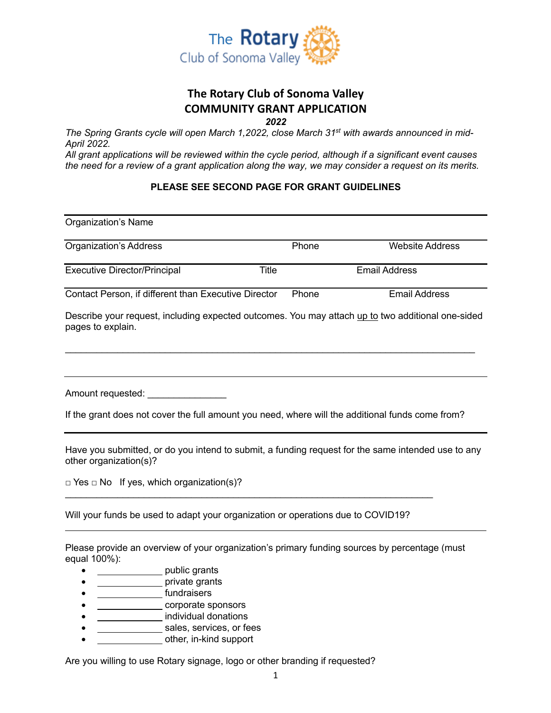

# **The Rotary Club of Sonoma Valley COMMUNITY GRANT APPLICATION**

*2022*

*The Spring Grants cycle will open March 1,2022, close March 31st with awards announced in mid-April 2022.*

*All grant applications will be reviewed within the cycle period, although if a significant event causes the need for a review of a grant application along the way, we may consider a request on its merits.*

#### **PLEASE SEE SECOND PAGE FOR GRANT GUIDELINES**

| <b>Organization's Name</b>                                                                                                                                                                                                     |              |                        |  |
|--------------------------------------------------------------------------------------------------------------------------------------------------------------------------------------------------------------------------------|--------------|------------------------|--|
| <b>Organization's Address</b>                                                                                                                                                                                                  | Phone        | <b>Website Address</b> |  |
| <b>Executive Director/Principal</b>                                                                                                                                                                                            | <b>Title</b> | <b>Email Address</b>   |  |
| Contact Person, if different than Executive Director                                                                                                                                                                           | Phone        | <b>Email Address</b>   |  |
| Describe your request, including expected outcomes. You may attach up to two additional one-sided<br>pages to explain.                                                                                                         |              |                        |  |
|                                                                                                                                                                                                                                |              |                        |  |
| Amount requested: Amount contract of the state of the state of the state of the state of the state of the state of the state of the state of the state of the state of the state of the state of the state of the state of the |              |                        |  |
| If the grant does not cover the full amount you need, where will the additional funds come from?                                                                                                                               |              |                        |  |
| Have you submitted, or do you intend to submit, a funding request for the same intended use to any<br>other organization(s)?                                                                                                   |              |                        |  |
| $\Box$ Yes $\Box$ No If yes, which organization(s)?                                                                                                                                                                            |              |                        |  |
| Will your funds be used to adapt your organization or operations due to COVID19?                                                                                                                                               |              |                        |  |
| Please provide an overview of your organization's primary funding sources by percentage (must<br>equal 100%):                                                                                                                  |              |                        |  |
| public grants                                                                                                                                                                                                                  |              |                        |  |
| private grants                                                                                                                                                                                                                 |              |                        |  |
| fundraisers                                                                                                                                                                                                                    |              |                        |  |
| corporate sponsors                                                                                                                                                                                                             |              |                        |  |

- individual donations
- sales, services, or fees
- other, in-kind support

Are you willing to use Rotary signage, logo or other branding if requested?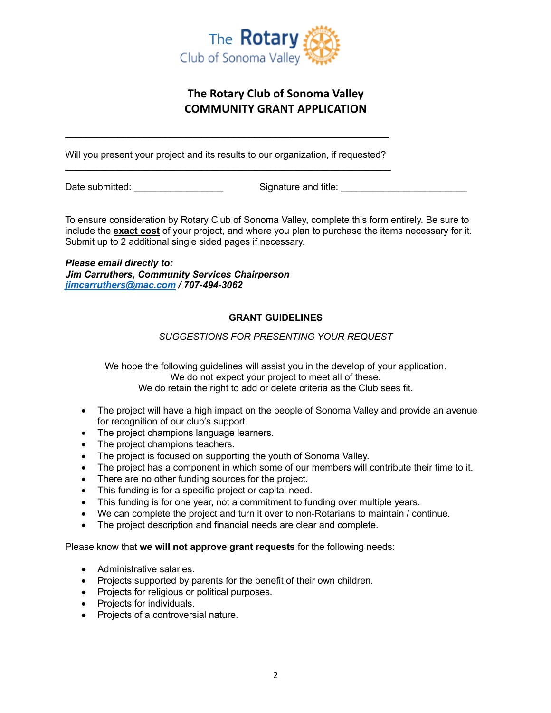

### **The Rotary Club of Sonoma Valley COMMUNITY GRANT APPLICATION**

Will you present your project and its results to our organization, if requested? \_\_\_\_\_\_\_\_\_\_\_\_\_\_\_\_\_\_\_\_\_\_\_\_\_\_\_\_\_\_\_\_\_\_\_\_\_\_\_\_\_\_\_\_\_\_\_\_\_\_\_\_\_\_\_\_\_\_\_\_\_\_

Date submitted:  $\Box$  Signature and title:

To ensure consideration by Rotary Club of Sonoma Valley, complete this form entirely. Be sure to include the **exact cost** of your project, and where you plan to purchase the items necessary for it. Submit up to 2 additional single sided pages if necessary.

#### *Please email directly to: Jim Carruthers, Community Services Chairperson jimcarruthers@mac.com / 707-494-3062*

\_\_\_\_\_\_\_\_\_\_\_\_\_\_\_\_\_\_\_\_\_\_\_\_\_\_\_\_\_\_\_\_\_\_\_\_\_\_\_\_\_\_\_

#### **GRANT GUIDELINES**

#### *SUGGESTIONS FOR PRESENTING YOUR REQUEST*

We hope the following guidelines will assist you in the develop of your application. We do not expect your project to meet all of these. We do retain the right to add or delete criteria as the Club sees fit.

- The project will have a high impact on the people of Sonoma Valley and provide an avenue for recognition of our club's support.
- The project champions language learners.
- The project champions teachers.
- The project is focused on supporting the youth of Sonoma Valley.
- The project has a component in which some of our members will contribute their time to it.
- There are no other funding sources for the project.
- This funding is for a specific project or capital need.
- This funding is for one year, not a commitment to funding over multiple years.
- We can complete the project and turn it over to non-Rotarians to maintain / continue.
- The project description and financial needs are clear and complete.

Please know that **we will not approve grant requests** for the following needs:

- Administrative salaries.
- Projects supported by parents for the benefit of their own children.
- Projects for religious or political purposes.
- Projects for individuals.
- Projects of a controversial nature.